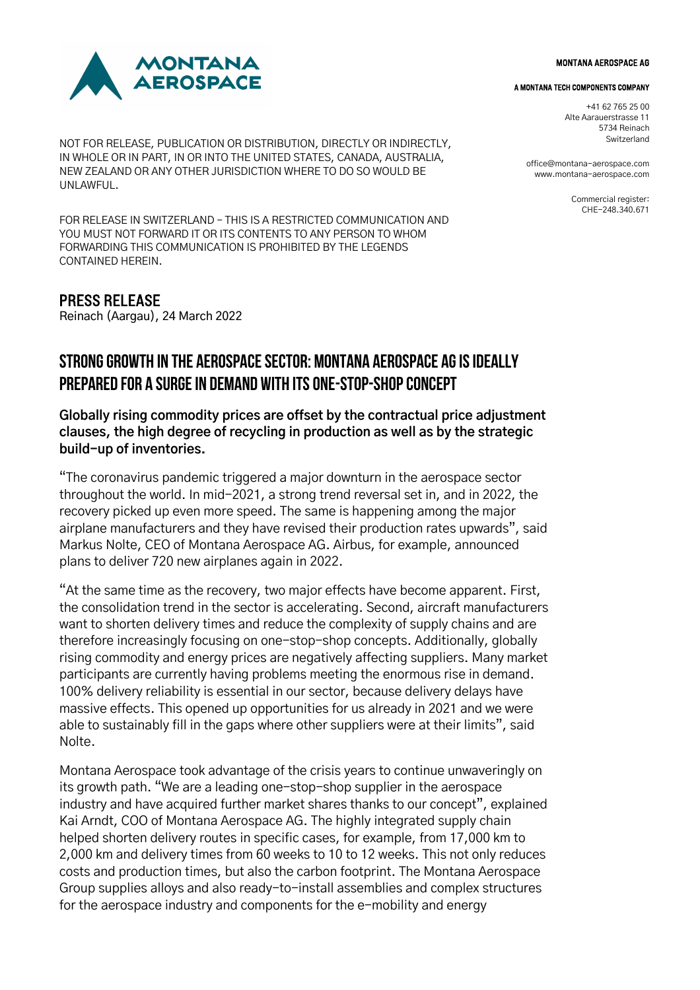

NOT FOR RELEASE, PUBLICATION OR DISTRIBUTION, DIRECTLY OR INDIRECTLY, IN WHOLE OR IN PART, IN OR INTO THE UNITED STATES, CANADA, AUSTRALIA, NEW ZEALAND OR ANY OTHER JURISDICTION WHERE TO DO SO WOULD BE UNLAWFUL.

FOR RELEASE IN SWITZERLAND – THIS IS A RESTRICTED COMMUNICATION AND YOU MUST NOT FORWARD IT OR ITS CONTENTS TO ANY PERSON TO WHOM FORWARDING THIS COMMUNICATION IS PROHIBITED BY THE LEGENDS CONTAINED HEREIN.

## PRESS RELEASE

Reinach (Aargau), 24 March 2022

# STRONG GROWTH IN THE AEROSPACE SECTOR: MONTANA AEROSPACE AG IS IDEALLY PREPARED FOR A SURGE IN DEMAND WITH ITS ONE-STOP-SHOP CONCEPT

### **Globally rising commodity prices are offset by the contractual price adjustment clauses, the high degree of recycling in production as well as by the strategic build-up of inventories.**

"The coronavirus pandemic triggered a major downturn in the aerospace sector throughout the world. In mid-2021, a strong trend reversal set in, and in 2022, the recovery picked up even more speed. The same is happening among the major airplane manufacturers and they have revised their production rates upwards", said Markus Nolte, CEO of Montana Aerospace AG. Airbus, for example, announced plans to deliver 720 new airplanes again in 2022.

"At the same time as the recovery, two major effects have become apparent. First, the consolidation trend in the sector is accelerating. Second, aircraft manufacturers want to shorten delivery times and reduce the complexity of supply chains and are therefore increasingly focusing on one-stop-shop concepts. Additionally, globally rising commodity and energy prices are negatively affecting suppliers. Many market participants are currently having problems meeting the enormous rise in demand. 100% delivery reliability is essential in our sector, because delivery delays have massive effects. This opened up opportunities for us already in 2021 and we were able to sustainably fill in the gaps where other suppliers were at their limits", said Nolte.

Montana Aerospace took advantage of the crisis years to continue unwaveringly on its growth path. "We are a leading one-stop-shop supplier in the aerospace industry and have acquired further market shares thanks to our concept", explained Kai Arndt, COO of Montana Aerospace AG. The highly integrated supply chain helped shorten delivery routes in specific cases, for example, from 17,000 km to 2,000 km and delivery times from 60 weeks to 10 to 12 weeks. This not only reduces costs and production times, but also the carbon footprint. The Montana Aerospace Group supplies alloys and also ready-to-install assemblies and complex structures for the aerospace industry and components for the e-mobility and energy

#### MONTANA AEROSPACE AG

#### A MONTANA TECH COMPONENTS COMPANY

+41 62 765 25 00 Alte Aarauerstrasse 11 5734 Reinach **Switzerland** 

office@montana-aerospace.com www.montana-aerospace.com

> Commercial register: CHE-248.340.671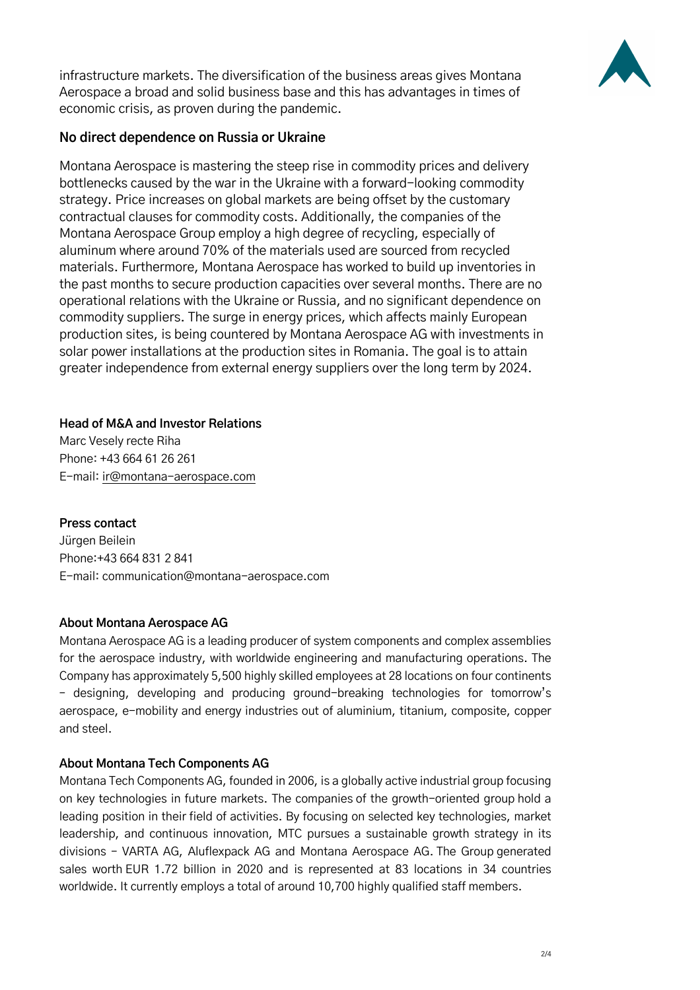

infrastructure markets. The diversification of the business areas gives Montana Aerospace a broad and solid business base and this has advantages in times of economic crisis, as proven during the pandemic.

### **No direct dependence on Russia or Ukraine**

Montana Aerospace is mastering the steep rise in commodity prices and delivery bottlenecks caused by the war in the Ukraine with a forward-looking commodity strategy. Price increases on global markets are being offset by the customary contractual clauses for commodity costs. Additionally, the companies of the Montana Aerospace Group employ a high degree of recycling, especially of aluminum where around 70% of the materials used are sourced from recycled materials. Furthermore, Montana Aerospace has worked to build up inventories in the past months to secure production capacities over several months. There are no operational relations with the Ukraine or Russia, and no significant dependence on commodity suppliers. The surge in energy prices, which affects mainly European production sites, is being countered by Montana Aerospace AG with investments in solar power installations at the production sites in Romania. The goal is to attain greater independence from external energy suppliers over the long term by 2024.

#### **Head of M&A and Investor Relations**

Marc Vesely recte Riha Phone: +43 664 61 26 261 E-mail: ir@montana-aerospace.com

### **Press contact**

Jürgen Beilein Phone:+43 664 831 2 841 E-mail: communication@montana-aerospace.com

#### **About Montana Aerospace AG**

Montana Aerospace AG is a leading producer of system components and complex assemblies for the aerospace industry, with worldwide engineering and manufacturing operations. The Company has approximately 5,500 highly skilled employees at 28 locations on four continents – designing, developing and producing ground-breaking technologies for tomorrow's aerospace, e-mobility and energy industries out of aluminium, titanium, composite, copper and steel.

#### **About Montana Tech Components AG**

Montana Tech Components AG, founded in 2006, is a globally active industrial group focusing on key technologies in future markets. The companies of the growth-oriented group hold a leading position in their field of activities. By focusing on selected key technologies, market leadership, and continuous innovation, MTC pursues a sustainable growth strategy in its divisions – VARTA AG, Aluflexpack AG and Montana Aerospace AG. The Group generated sales worth EUR 1.72 billion in 2020 and is represented at 83 locations in 34 countries worldwide. It currently employs a total of around 10,700 highly qualified staff members.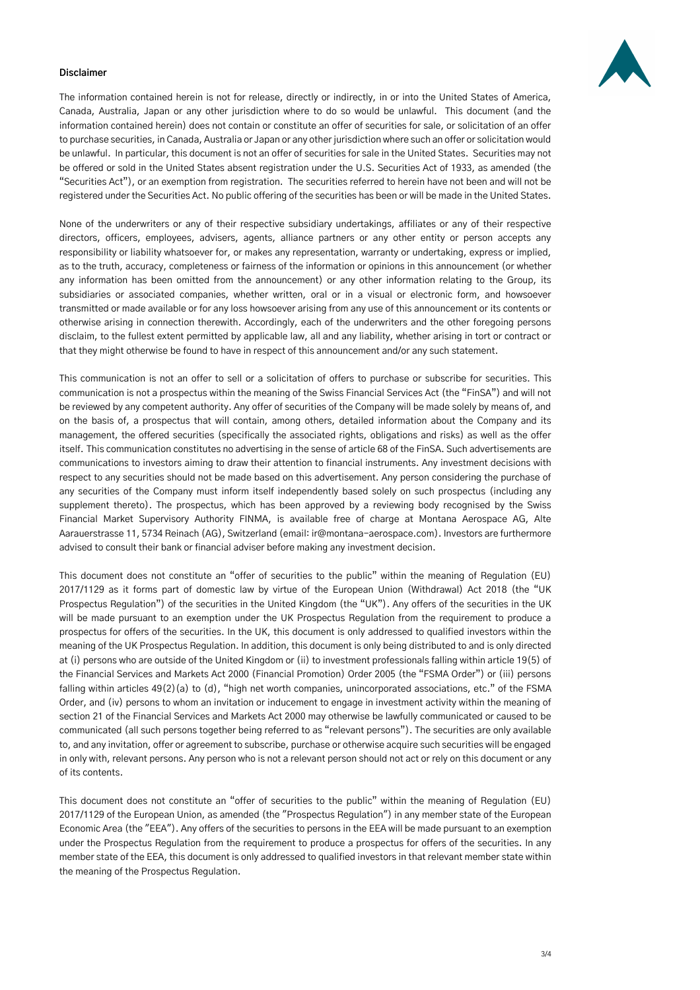

#### **Disclaimer**

The information contained herein is not for release, directly or indirectly, in or into the United States of America, Canada, Australia, Japan or any other jurisdiction where to do so would be unlawful. This document (and the information contained herein) does not contain or constitute an offer of securities for sale, or solicitation of an offer to purchase securities, in Canada, Australia or Japan or any other jurisdiction where such an offer or solicitation would be unlawful. In particular, this document is not an offer of securities for sale in the United States. Securities may not be offered or sold in the United States absent registration under the U.S. Securities Act of 1933, as amended (the "Securities Act"), or an exemption from registration. The securities referred to herein have not been and will not be registered under the Securities Act. No public offering of the securities has been or will be made in the United States.

None of the underwriters or any of their respective subsidiary undertakings, affiliates or any of their respective directors, officers, employees, advisers, agents, alliance partners or any other entity or person accepts any responsibility or liability whatsoever for, or makes any representation, warranty or undertaking, express or implied, as to the truth, accuracy, completeness or fairness of the information or opinions in this announcement (or whether any information has been omitted from the announcement) or any other information relating to the Group, its subsidiaries or associated companies, whether written, oral or in a visual or electronic form, and howsoever transmitted or made available or for any loss howsoever arising from any use of this announcement or its contents or otherwise arising in connection therewith. Accordingly, each of the underwriters and the other foregoing persons disclaim, to the fullest extent permitted by applicable law, all and any liability, whether arising in tort or contract or that they might otherwise be found to have in respect of this announcement and/or any such statement.

This communication is not an offer to sell or a solicitation of offers to purchase or subscribe for securities. This communication is not a prospectus within the meaning of the Swiss Financial Services Act (the "FinSA") and will not be reviewed by any competent authority. Any offer of securities of the Company will be made solely by means of, and on the basis of, a prospectus that will contain, among others, detailed information about the Company and its management, the offered securities (specifically the associated rights, obligations and risks) as well as the offer itself. This communication constitutes no advertising in the sense of article 68 of the FinSA. Such advertisements are communications to investors aiming to draw their attention to financial instruments. Any investment decisions with respect to any securities should not be made based on this advertisement. Any person considering the purchase of any securities of the Company must inform itself independently based solely on such prospectus (including any supplement thereto). The prospectus, which has been approved by a reviewing body recognised by the Swiss Financial Market Supervisory Authority FINMA, is available free of charge at Montana Aerospace AG, Alte Aarauerstrasse 11, 5734 Reinach (AG), Switzerland (email: ir@montana-aerospace.com). Investors are furthermore advised to consult their bank or financial adviser before making any investment decision.

This document does not constitute an "offer of securities to the public" within the meaning of Regulation (EU) 2017/1129 as it forms part of domestic law by virtue of the European Union (Withdrawal) Act 2018 (the "UK Prospectus Regulation") of the securities in the United Kingdom (the "UK"). Any offers of the securities in the UK will be made pursuant to an exemption under the UK Prospectus Regulation from the requirement to produce a prospectus for offers of the securities. In the UK, this document is only addressed to qualified investors within the meaning of the UK Prospectus Regulation. In addition, this document is only being distributed to and is only directed at (i) persons who are outside of the United Kingdom or (ii) to investment professionals falling within article 19(5) of the Financial Services and Markets Act 2000 (Financial Promotion) Order 2005 (the "FSMA Order") or (iii) persons falling within articles 49(2)(a) to (d), "high net worth companies, unincorporated associations, etc." of the FSMA Order, and (iv) persons to whom an invitation or inducement to engage in investment activity within the meaning of section 21 of the Financial Services and Markets Act 2000 may otherwise be lawfully communicated or caused to be communicated (all such persons together being referred to as "relevant persons"). The securities are only available to, and any invitation, offer or agreement to subscribe, purchase or otherwise acquire such securities will be engaged in only with, relevant persons. Any person who is not a relevant person should not act or rely on this document or any of its contents.

This document does not constitute an "offer of securities to the public" within the meaning of Regulation (EU) 2017/1129 of the European Union, as amended (the "Prospectus Regulation") in any member state of the European Economic Area (the "EEA"). Any offers of the securities to persons in the EEA will be made pursuant to an exemption under the Prospectus Regulation from the requirement to produce a prospectus for offers of the securities. In any member state of the EEA, this document is only addressed to qualified investors in that relevant member state within the meaning of the Prospectus Regulation.